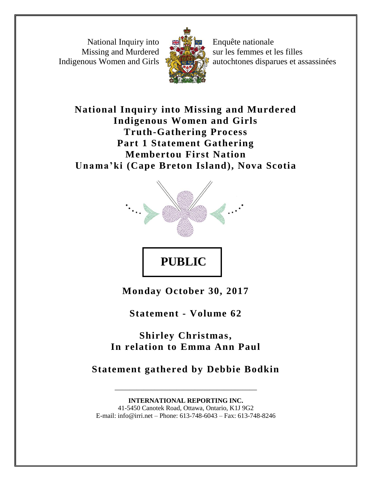National Inquiry into Missing and Murdered Indigenous Women and Girls



Enquête nationale sur les femmes et les filles autochtones disparues et assassinées

**National Inquiry into Missing and Murdered Indigenous Women and Girls Truth-Gathering Process Part 1 Statement Gathering Membertou First Nation Unama 'ki (Cape Breton Island), Nova Scotia**



**Monday October 30, 2017**

**Statement - Volume 62**

**Shirley Christmas, In relation to Emma Ann Paul**

**Statement gathered by Debbie Bodkin**

\_\_\_\_\_\_\_\_\_\_\_\_\_\_\_\_\_\_\_\_\_\_\_\_\_\_\_\_\_\_\_\_\_\_\_\_\_\_\_

**INTERNATIONAL REPORTING INC.** 41-5450 Canotek Road, Ottawa, Ontario, K1J 9G2 E-mail: info@irri.net – Phone: 613-748-6043 – Fax: 613-748-8246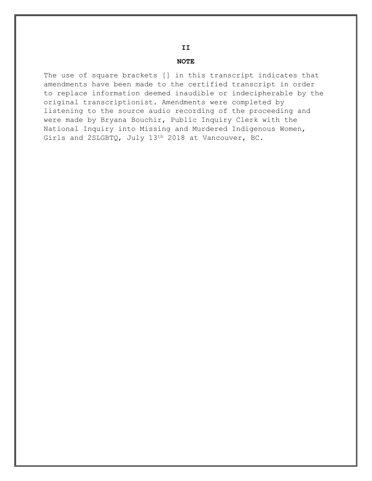#### **NOTE**

The use of square brackets [] in this transcript indicates that amendments have been made to the certified transcript in order to replace information deemed inaudible or indecipherable by the original transcriptionist. Amendments were completed by listening to the source audio recording of the proceeding and were made by Bryana Bouchir, Public Inquiry Clerk with the National Inquiry into Missing and Murdered Indigenous Women, Girls and 2SLGBTQ, July 13th 2018 at Vancouver, BC.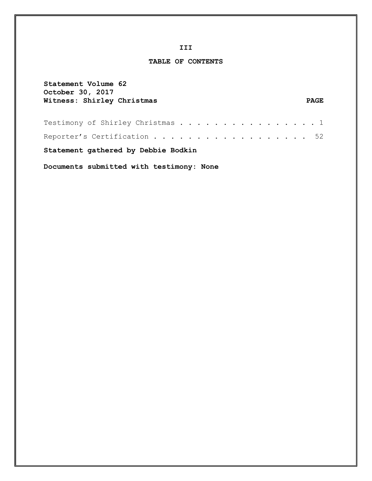#### **III**

#### **TABLE OF CONTENTS**

| Statement Volume 62<br>October 30, 2017  |             |  |  |
|------------------------------------------|-------------|--|--|
| Witness: Shirley Christmas               | <b>PAGE</b> |  |  |
| Testimony of Shirley Christmas 1         |             |  |  |
| Reporter's Certification 52              |             |  |  |
| Statement gathered by Debbie Bodkin      |             |  |  |
| Documents submitted with testimony: None |             |  |  |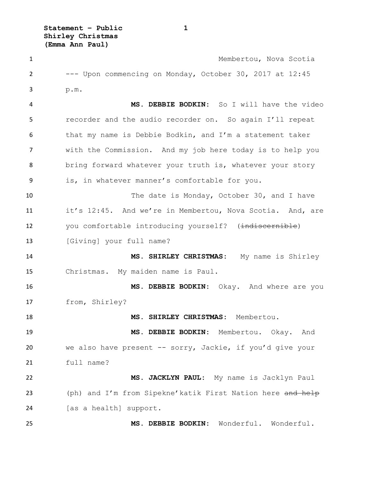**Statement – Public 1 Shirley Christmas (Emma Ann Paul)**

 Membertou, Nova Scotia --- Upon commencing on Monday, October 30, 2017 at 12:45 p.m. **MS. DEBBIE BODKIN:** So I will have the video recorder and the audio recorder on. So again I'll repeat that my name is Debbie Bodkin, and I'm a statement taker with the Commission. And my job here today is to help you bring forward whatever your truth is, whatever your story is, in whatever manner's comfortable for you. The date is Monday, October 30, and I have it's 12:45. And we're in Membertou, Nova Scotia. And, are 12 you comfortable introducing yourself? (indiscernible) 13 [Giving] your full name? **MS. SHIRLEY CHRISTMAS:** My name is Shirley Christmas. My maiden name is Paul. **MS. DEBBIE BODKIN:** Okay. And where are you from, Shirley? **MS. SHIRLEY CHRISTMAS:** Membertou. **MS. DEBBIE BODKIN:** Membertou. Okay. And we also have present -- sorry, Jackie, if you'd give your full name? **MS. JACKLYN PAUL:** My name is Jacklyn Paul 23 (ph) and I'm from Sipekne'katik First Nation here and help 24 [as a health] support. **MS. DEBBIE BODKIN:** Wonderful. Wonderful.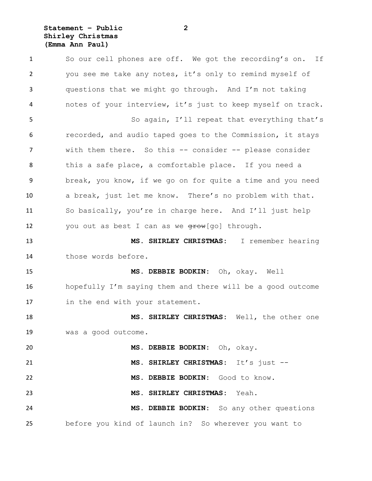# **Statement – Public 2 Shirley Christmas (Emma Ann Paul)**

 So our cell phones are off. We got the recording's on. If you see me take any notes, it's only to remind myself of questions that we might go through. And I'm not taking notes of your interview, it's just to keep myself on track. So again, I'll repeat that everything that's recorded, and audio taped goes to the Commission, it stays with them there. So this -- consider -- please consider this a safe place, a comfortable place. If you need a break, you know, if we go on for quite a time and you need a break, just let me know. There's no problem with that. So basically, you're in charge here. And I'll just help 12 you out as best I can as we  $\frac{q}{r}$  (go] through. **MS. SHIRLEY CHRISTMAS:** I remember hearing those words before. **MS. DEBBIE BODKIN:** Oh, okay. Well hopefully I'm saying them and there will be a good outcome in the end with your statement. **MS. SHIRLEY CHRISTMAS:** Well, the other one was a good outcome. **MS. DEBBIE BODKIN:** Oh, okay. **MS. SHIRLEY CHRISTMAS:** It's just -- **MS. DEBBIE BODKIN:** Good to know. **MS. SHIRLEY CHRISTMAS:** Yeah. **MS. DEBBIE BODKIN:** So any other questions before you kind of launch in? So wherever you want to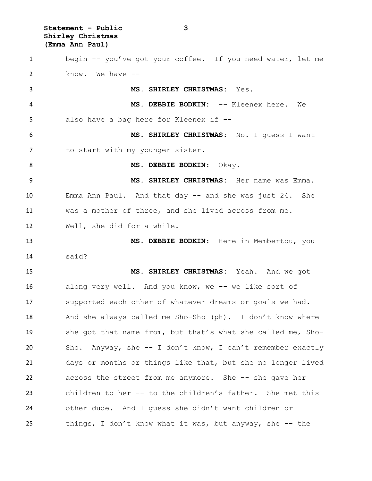**Statement – Public 3 Shirley Christmas (Emma Ann Paul)**

 begin -- you've got your coffee. If you need water, let me know. We have -- **MS. SHIRLEY CHRISTMAS:** Yes. **MS. DEBBIE BODKIN:** -- Kleenex here. We also have a bag here for Kleenex if -- **MS. SHIRLEY CHRISTMAS:** No. I guess I want 7 to start with my younger sister. **MS. DEBBIE BODKIN:** Okay. **MS. SHIRLEY CHRISTMAS:** Her name was Emma. Emma Ann Paul. And that day -- and she was just 24. She was a mother of three, and she lived across from me. Well, she did for a while. **MS. DEBBIE BODKIN:** Here in Membertou, you said? **MS. SHIRLEY CHRISTMAS:** Yeah. And we got along very well. And you know, we -- we like sort of supported each other of whatever dreams or goals we had. And she always called me Sho-Sho (ph). I don't know where she got that name from, but that's what she called me, Sho- Sho. Anyway, she -- I don't know, I can't remember exactly days or months or things like that, but she no longer lived across the street from me anymore. She -- she gave her children to her -- to the children's father. She met this other dude. And I guess she didn't want children or things, I don't know what it was, but anyway, she -- the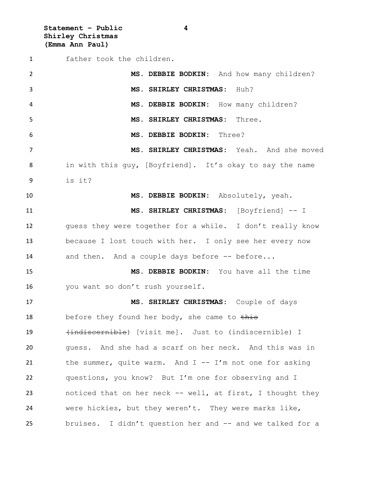**Statement – Public 4 Shirley Christmas (Emma Ann Paul)**

 father took the children. **MS. DEBBIE BODKIN:** And how many children? **MS. SHIRLEY CHRISTMAS:** Huh? **MS. DEBBIE BODKIN:** How many children? **MS. SHIRLEY CHRISTMAS:** Three. **MS. DEBBIE BODKIN:** Three? **MS. SHIRLEY CHRISTMAS:** Yeah. And she moved in with this guy, [Boyfriend]. It's okay to say the name is it? **MS. DEBBIE BODKIN:** Absolutely, yeah. **MS. SHIRLEY CHRISTMAS:** [Boyfriend] -- I guess they were together for a while. I don't really know because I lost touch with her. I only see her every now 14 and then. And a couple days before -- before... **MS. DEBBIE BODKIN:** You have all the time you want so don't rush yourself. **MS. SHIRLEY CHRISTMAS:** Couple of days 18 before they found her body, she came to this (indiscernible) [visit me]. Just to (indiscernible) I guess. And she had a scarf on her neck. And this was in the summer, quite warm. And I -- I'm not one for asking questions, you know? But I'm one for observing and I noticed that on her neck -- well, at first, I thought they were hickies, but they weren't. They were marks like, 25 bruises. I didn't question her and -- and we talked for a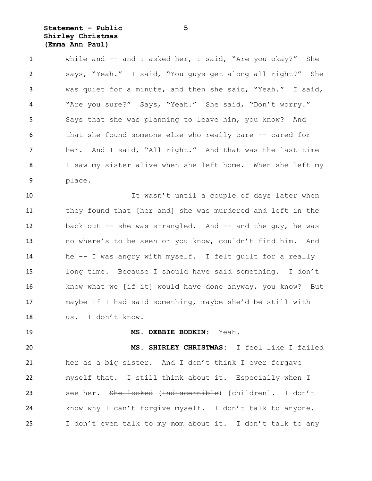# **Statement – Public 5 Shirley Christmas (Emma Ann Paul)**

 while and -- and I asked her, I said, "Are you okay?" She says, "Yeah." I said, "You guys get along all right?" She was quiet for a minute, and then she said, "Yeah." I said, "Are you sure?" Says, "Yeah." She said, "Don't worry." Says that she was planning to leave him, you know? And that she found someone else who really care -- cared for her. And I said, "All right." And that was the last time I saw my sister alive when she left home. When she left my place.

 It wasn't until a couple of days later when 11 they found that [her and] she was murdered and left in the 12 back out -- she was strangled. And -- and the guy, he was no where's to be seen or you know, couldn't find him. And he -- I was angry with myself. I felt guilt for a really long time. Because I should have said something. I don't 16 know what we [if it] would have done anyway, you know? But maybe if I had said something, maybe she'd be still with us. I don't know.

**MS. DEBBIE BODKIN:** Yeah.

 **MS. SHIRLEY CHRISTMAS:** I feel like I failed her as a big sister. And I don't think I ever forgave myself that. I still think about it. Especially when I 23 see her. She looked (indiscernible) [children]. I don't know why I can't forgive myself. I don't talk to anyone. I don't even talk to my mom about it. I don't talk to any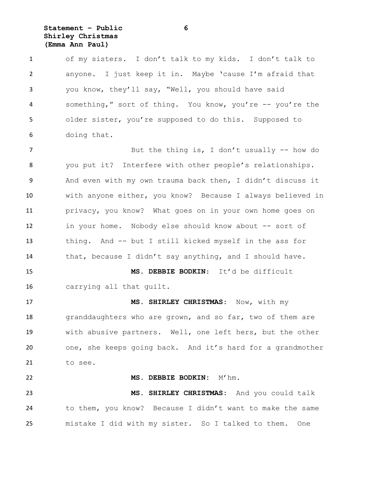# **Statement – Public 6 Shirley Christmas (Emma Ann Paul)**

 of my sisters. I don't talk to my kids. I don't talk to anyone. I just keep it in. Maybe 'cause I'm afraid that you know, they'll say, "Well, you should have said something," sort of thing. You know, you're -- you're the older sister, you're supposed to do this. Supposed to doing that.

7 But the thing is, I don't usually -- how do you put it? Interfere with other people's relationships. And even with my own trauma back then, I didn't discuss it with anyone either, you know? Because I always believed in privacy, you know? What goes on in your own home goes on in your home. Nobody else should know about -- sort of thing. And -- but I still kicked myself in the ass for that, because I didn't say anything, and I should have.

 **MS. DEBBIE BODKIN**: It'd be difficult carrying all that guilt.

 **MS. SHIRLEY CHRISTMAS:** Now, with my 18 granddaughters who are grown, and so far, two of them are with abusive partners. Well, one left hers, but the other one, she keeps going back. And it's hard for a grandmother to see.

 **MS. DEBBIE BODKIN:** M'hm. **MS. SHIRLEY CHRISTMAS:** And you could talk to them, you know? Because I didn't want to make the same mistake I did with my sister. So I talked to them. One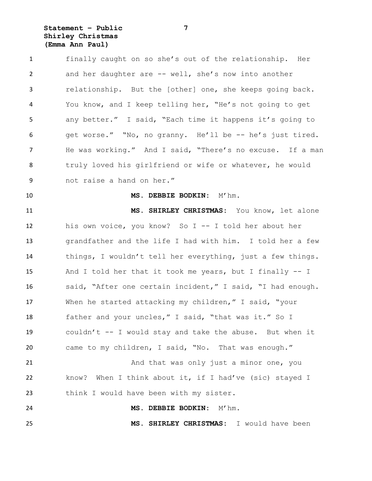# **Statement – Public 7 Shirley Christmas (Emma Ann Paul)**

 finally caught on so she's out of the relationship. Her and her daughter are -- well, she's now into another relationship. But the [other] one, she keeps going back. You know, and I keep telling her, "He's not going to get any better." I said, "Each time it happens it's going to get worse." "No, no granny. He'll be -- he's just tired. He was working." And I said, "There's no excuse. If a man truly loved his girlfriend or wife or whatever, he would not raise a hand on her."

# **MS. DEBBIE BODKIN:** M'hm.

 **MS. SHIRLEY CHRISTMAS:** You know, let alone his own voice, you know? So I -- I told her about her grandfather and the life I had with him. I told her a few things, I wouldn't tell her everything, just a few things. And I told her that it took me years, but I finally -- I said, "After one certain incident," I said, "I had enough. When he started attacking my children," I said, "your 18 father and your uncles," I said, "that was it." So I couldn't -- I would stay and take the abuse. But when it came to my children, I said, "No. That was enough." And that was only just a minor one, you

 know? When I think about it, if I had've (sic) stayed I think I would have been with my sister.

**MS. DEBBIE BODKIN:** M'hm.

**MS. SHIRLEY CHRISTMAS:** I would have been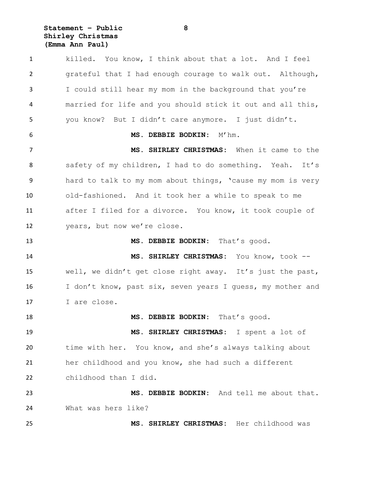**Statement – Public 8 Shirley Christmas (Emma Ann Paul)**

 killed. You know, I think about that a lot. And I feel grateful that I had enough courage to walk out. Although, I could still hear my mom in the background that you're married for life and you should stick it out and all this, you know? But I didn't care anymore. I just didn't. **MS. DEBBIE BODKIN:** M'hm. **MS. SHIRLEY CHRISTMAS:** When it came to the safety of my children, I had to do something. Yeah. It's hard to talk to my mom about things, 'cause my mom is very old-fashioned. And it took her a while to speak to me after I filed for a divorce. You know, it took couple of years, but now we're close. **MS. DEBBIE BODKIN:** That's good. **MS. SHIRLEY CHRISTMAS:** You know, took -- well, we didn't get close right away. It's just the past, 16 I don't know, past six, seven years I quess, my mother and I are close. **MS. DEBBIE BODKIN:** That's good. **MS. SHIRLEY CHRISTMAS:** I spent a lot of time with her. You know, and she's always talking about her childhood and you know, she had such a different childhood than I did. **MS. DEBBIE BODKIN:** And tell me about that. What was hers like? **MS. SHIRLEY CHRISTMAS:** Her childhood was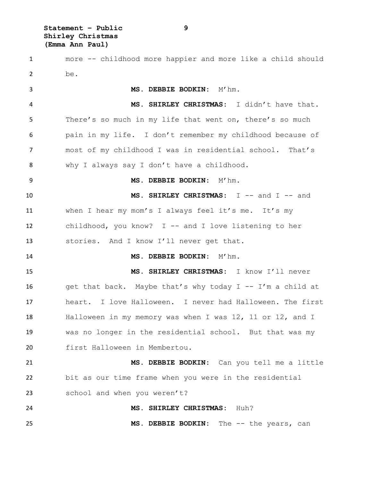**Statement – Public 9 Shirley Christmas (Emma Ann Paul)**

 more -- childhood more happier and more like a child should be. **MS. DEBBIE BODKIN:** M'hm. **MS. SHIRLEY CHRISTMAS:** I didn't have that. There's so much in my life that went on, there's so much pain in my life. I don't remember my childhood because of most of my childhood I was in residential school. That's why I always say I don't have a childhood. **MS. DEBBIE BODKIN:** M'hm. **MS. SHIRLEY CHRISTMAS:** I -- and I -- and when I hear my mom's I always feel it's me. It's my childhood, you know? I -- and I love listening to her stories. And I know I'll never get that. **MS. DEBBIE BODKIN:** M'hm. **MS. SHIRLEY CHRISTMAS:** I know I'll never get that back. Maybe that's why today I -- I'm a child at heart. I love Halloween. I never had Halloween. The first Halloween in my memory was when I was 12, 11 or 12, and I was no longer in the residential school. But that was my first Halloween in Membertou. **MS. DEBBIE BODKIN:** Can you tell me a little bit as our time frame when you were in the residential 23 school and when you weren't? **MS. SHIRLEY CHRISTMAS:** Huh? **MS. DEBBIE BODKIN:** The -- the years, can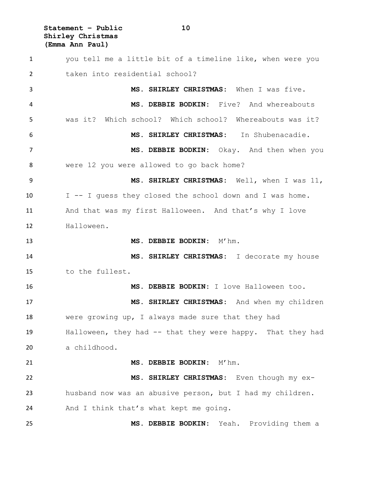**Statement – Public 10 Shirley Christmas (Emma Ann Paul)**

 you tell me a little bit of a timeline like, when were you taken into residential school? **MS. SHIRLEY CHRISTMAS:** When I was five. **MS. DEBBIE BODKIN:** Five? And whereabouts was it? Which school? Which school? Whereabouts was it? **MS. SHIRLEY CHRISTMAS:** In Shubenacadie. **MS. DEBBIE BODKIN:** Okay. And then when you were 12 you were allowed to go back home? **MS. SHIRLEY CHRISTMAS:** Well, when I was 11, I -- I guess they closed the school down and I was home. 11 And that was my first Halloween. And that's why I love Halloween. **MS. DEBBIE BODKIN:** M'hm. **MS. SHIRLEY CHRISTMAS:** I decorate my house to the fullest. **MS. DEBBIE BODKIN:** I love Halloween too. **MS. SHIRLEY CHRISTMAS:** And when my children were growing up, I always made sure that they had Halloween, they had -- that they were happy. That they had a childhood. **MS. DEBBIE BODKIN:** M'hm. **MS. SHIRLEY CHRISTMAS:** Even though my ex- husband now was an abusive person, but I had my children. And I think that's what kept me going. **MS. DEBBIE BODKIN:** Yeah. Providing them a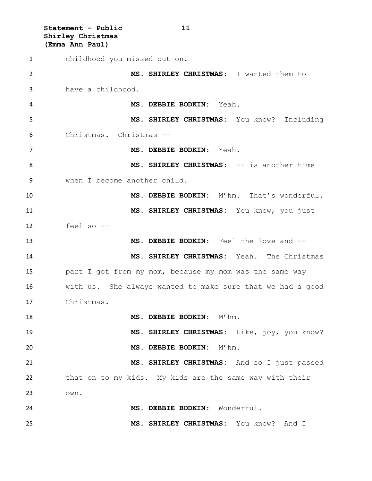**Statement – Public 11 Shirley Christmas (Emma Ann Paul)** childhood you missed out on. **MS. SHIRLEY CHRISTMAS:** I wanted them to have a childhood. **MS. DEBBIE BODKIN:** Yeah. **MS. SHIRLEY CHRISTMAS:** You know? Including Christmas. Christmas -- **MS. DEBBIE BODKIN:** Yeah. **MS. SHIRLEY CHRISTMAS:** -- is another time when I become another child. **MS. DEBBIE BODKIN:** M'hm. That's wonderful. **MS. SHIRLEY CHRISTMAS:** You know, you just feel so -- **MS. DEBBIE BODKIN:** Feel the love and -- **MS. SHIRLEY CHRISTMAS:** Yeah. The Christmas part I got from my mom, because my mom was the same way with us. She always wanted to make sure that we had a good Christmas. **MS. DEBBIE BODKIN:** M'hm. **MS. SHIRLEY CHRISTMAS:** Like, joy, you know? **MS. DEBBIE BODKIN:** M'hm. **MS. SHIRLEY CHRISTMAS:** And so I just passed that on to my kids. My kids are the same way with their own. **MS. DEBBIE BODKIN:** Wonderful. **MS. SHIRLEY CHRISTMAS:** You know? And I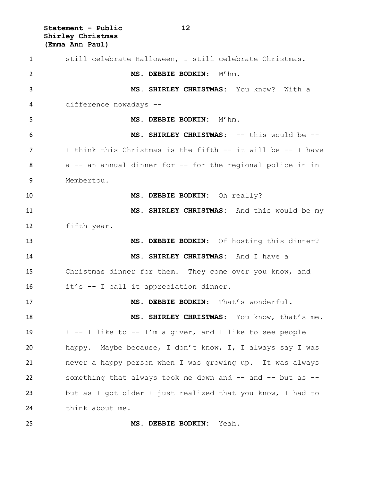**Statement – Public 12 Shirley Christmas (Emma Ann Paul)**

 still celebrate Halloween, I still celebrate Christmas. **MS. DEBBIE BODKIN:** M'hm. **MS. SHIRLEY CHRISTMAS:** You know? With a difference nowadays -- **MS. DEBBIE BODKIN:**  $M'$  hm. **MS. SHIRLEY CHRISTMAS:** -- this would be -- I think this Christmas is the fifth -- it will be -- I have a -- an annual dinner for -- for the regional police in in Membertou. **MS. DEBBIE BODKIN:** Oh really? **MS. SHIRLEY CHRISTMAS:** And this would be my fifth year. **MS. DEBBIE BODKIN:** Of hosting this dinner? **MS. SHIRLEY CHRISTMAS:** And I have a Christmas dinner for them. They come over you know, and it's -- I call it appreciation dinner. **MS. DEBBIE BODKIN:** That's wonderful. **MS. SHIRLEY CHRISTMAS:** You know, that's me. I -- I like to -- I'm a giver, and I like to see people happy. Maybe because, I don't know, I, I always say I was never a happy person when I was growing up. It was always something that always took me down and -- and -- but as -- but as I got older I just realized that you know, I had to think about me.

**MS. DEBBIE BODKIN:** Yeah.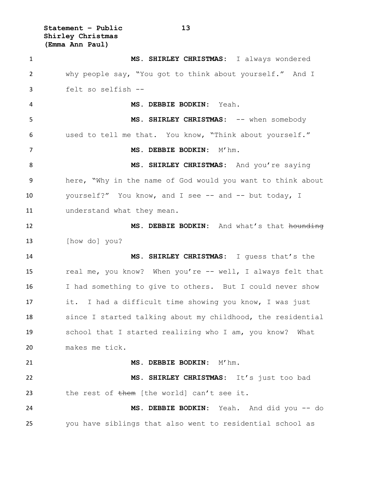**Statement – Public 13 Shirley Christmas (Emma Ann Paul)**

 **MS. SHIRLEY CHRISTMAS:** I always wondered why people say, "You got to think about yourself." And I felt so selfish -- **MS. DEBBIE BODKIN:** Yeah. **MS. SHIRLEY CHRISTMAS:** -- when somebody used to tell me that. You know, "Think about yourself." **MS. DEBBIE BODKIN:** M'hm. **MS. SHIRLEY CHRISTMAS:** And you're saying here, "Why in the name of God would you want to think about 10 yourself?" You know, and I see -- and -- but today, I 11 understand what they mean. **MS. DEBBIE BODKIN:** And what's that hounding [how do] you? **MS. SHIRLEY CHRISTMAS:** I guess that's the real me, you know? When you're -- well, I always felt that I had something to give to others. But I could never show it. I had a difficult time showing you know, I was just since I started talking about my childhood, the residential school that I started realizing who I am, you know? What makes me tick. **MS. DEBBIE BODKIN:** M'hm. **MS. SHIRLEY CHRISTMAS:** It's just too bad 23 the rest of them [the world] can't see it. **MS. DEBBIE BODKIN:** Yeah. And did you -- do you have siblings that also went to residential school as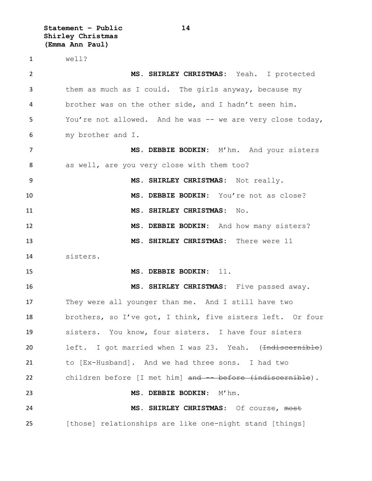**Statement – Public 14 Shirley Christmas (Emma Ann Paul)**

well?

 **MS. SHIRLEY CHRISTMAS:** Yeah. I protected them as much as I could. The girls anyway, because my brother was on the other side, and I hadn't seen him. You're not allowed. And he was -- we are very close today, my brother and I. **MS. DEBBIE BODKIN:** M'hm. And your sisters as well, are you very close with them too? **MS. SHIRLEY CHRISTMAS:** Not really. **MS. DEBBIE BODKIN:** You're not as close? **MS. SHIRLEY CHRISTMAS:** No. **MS. DEBBIE BODKIN:** And how many sisters? **MS. SHIRLEY CHRISTMAS:** There were 11 sisters. **MS. DEBBIE BODKIN:** 11. **MS. SHIRLEY CHRISTMAS:** Five passed away. They were all younger than me. And I still have two brothers, so I've got, I think, five sisters left. Or four sisters. You know, four sisters. I have four sisters 20 left. I got married when I was 23. Yeah. (<del>Indiscernible</del>) to [Ex-Husband]. And we had three sons. I had two 22 children before [I met him] and -- before (indiscernible). **MS. DEBBIE BODKIN**: M'hm. **MS. SHIRLEY CHRISTMAS**: Of course, most [those] relationships are like one-night stand [things]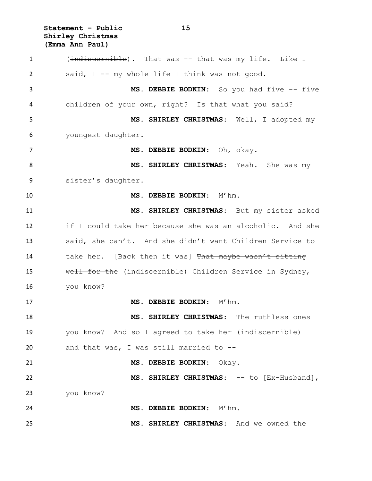**Statement – Public 15 Shirley Christmas (Emma Ann Paul)**

1 (indiscernible). That was -- that was my life. Like I said, I -- my whole life I think was not good. **MS. DEBBIE BODKIN**: So you had five -- five children of your own, right? Is that what you said? **MS. SHIRLEY CHRISTMAS**: Well, I adopted my youngest daughter. **MS. DEBBIE BODKIN**: Oh, okay. **MS. SHIRLEY CHRISTMAS**: Yeah. She was my sister's daughter. **MS. DEBBIE BODKIN**: M'hm. **MS. SHIRLEY CHRISTMAS**: But my sister asked if I could take her because she was an alcoholic. And she said, she can't. And she didn't want Children Service to 14 take her. [Back then it was] That maybe wasn't sitting well for the (indiscernible) Children Service in Sydney, you know? **MS. DEBBIE BODKIN**: M'hm. **MS. SHIRLEY CHRISTMAS**: The ruthless ones you know? And so I agreed to take her (indiscernible) and that was, I was still married to -- **MS. DEBBIE BODKIN**: Okay. 22 MS. SHIRLEY CHRISTMAS: -- to [Ex-Husband], you know? **MS. DEBBIE BODKIN**: M'hm. **MS. SHIRLEY CHRISTMAS**: And we owned the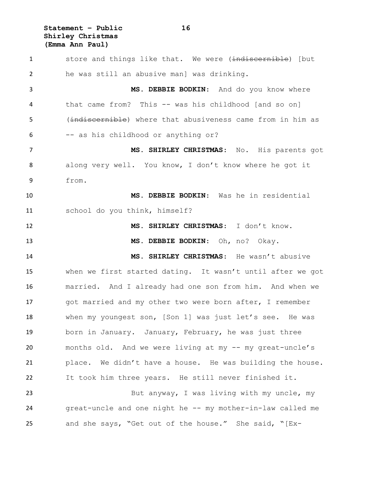**Statement – Public 16 Shirley Christmas (Emma Ann Paul)**

1 store and things like that. We were (indiscernible) [but he was still an abusive man] was drinking. **MS. DEBBIE BODKIN**: And do you know where that came from? This -- was his childhood [and so on] 5 (indiscernible) where that abusiveness came from in him as -- as his childhood or anything or? **MS. SHIRLEY CHRISTMAS**: No. His parents got along very well. You know, I don't know where he got it from. **MS. DEBBIE BODKIN**: Was he in residential school do you think, himself? **MS. SHIRLEY CHRISTMAS**: I don't know. **MS. DEBBIE BODKIN**: Oh, no? Okay. **MS. SHIRLEY CHRISTMAS**: He wasn't abusive when we first started dating. It wasn't until after we got married. And I already had one son from him. And when we 17 got married and my other two were born after, I remember when my youngest son, [Son 1] was just let's see. He was born in January. January, February, he was just three months old. And we were living at my -- my great-uncle's place. We didn't have a house. He was building the house. It took him three years. He still never finished it. But anyway, I was living with my uncle, my great-uncle and one night he -- my mother-in-law called me and she says, "Get out of the house." She said, "[Ex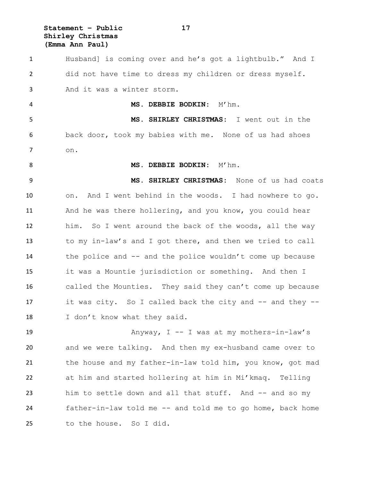**Statement – Public 17 Shirley Christmas (Emma Ann Paul)**

 Husband] is coming over and he's got a lightbulb." And I did not have time to dress my children or dress myself. And it was a winter storm. **MS. DEBBIE BODKIN:** M'hm. **MS. SHIRLEY CHRISTMAS:** I went out in the back door, took my babies with me. None of us had shoes on. 8 MS. DEBBIE BODKIN: M'hm. **MS. SHIRLEY CHRISTMAS:** None of us had coats on. And I went behind in the woods. I had nowhere to go. And he was there hollering, and you know, you could hear him. So I went around the back of the woods, all the way to my in-law's and I got there, and then we tried to call the police and -- and the police wouldn't come up because it was a Mountie jurisdiction or something. And then I called the Mounties. They said they can't come up because it was city. So I called back the city and -- and they -- 18 I don't know what they said. 19 Anyway, I -- I was at my mothers-in-law's and we were talking. And then my ex-husband came over to

 the house and my father-in-law told him, you know, got mad at him and started hollering at him in Mi'kmaq. Telling him to settle down and all that stuff. And -- and so my father-in-law told me -- and told me to go home, back home to the house. So I did.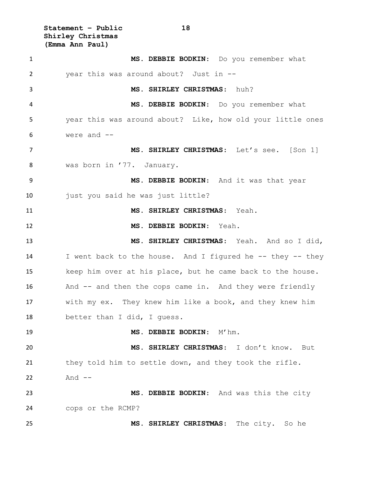**Statement – Public 18 Shirley Christmas (Emma Ann Paul)**

 **MS. DEBBIE BODKIN**: Do you remember what year this was around about? Just in -- **MS. SHIRLEY CHRISTMAS**: huh? **MS. DEBBIE BODKIN**: Do you remember what year this was around about? Like, how old your little ones were and -- **MS. SHIRLEY CHRISTMAS**: Let's see. [Son 1] was born in '77. January. **MS. DEBBIE BODKIN**: And it was that year 10 just you said he was just little? **MS. SHIRLEY CHRISTMAS**: Yeah. **MS. DEBBIE BODKIN**: Yeah. **MS. SHIRLEY CHRISTMAS**: Yeah. And so I did, I went back to the house. And I figured he -- they -- they keep him over at his place, but he came back to the house. And -- and then the cops came in. And they were friendly with my ex. They knew him like a book, and they knew him better than I did, I guess. **MS. DEBBIE BODKIN**: M'hm. **MS. SHIRLEY CHRISTMAS**: I don't know. But they told him to settle down, and they took the rifle. And -- **MS. DEBBIE BODKIN**: And was this the city cops or the RCMP? **MS. SHIRLEY CHRISTMAS**: The city. So he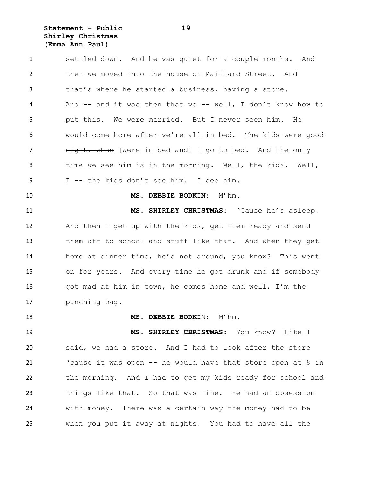# **Statement – Public 19 Shirley Christmas (Emma Ann Paul)**

 settled down. And he was quiet for a couple months. And then we moved into the house on Maillard Street. And that's where he started a business, having a store. And -- and it was then that we -- well, I don't know how to put this. We were married. But I never seen him. He 6 would come home after we're all in bed. The kids were  $\theta$ 7 anight, when [were in bed and] I go to bed. And the only time we see him is in the morning. Well, the kids. Well, I -- the kids don't see him. I see him. **MS. DEBBIE BODKIN**: M'hm. **MS. SHIRLEY CHRISTMAS**: 'Cause he's asleep. And then I get up with the kids, get them ready and send them off to school and stuff like that. And when they get home at dinner time, he's not around, you know? This went on for years. And every time he got drunk and if somebody 16 got mad at him in town, he comes home and well, I'm the punching bag. **MS. DEBBIE BODKI**N: M'hm. **MS. SHIRLEY CHRISTMAS**: You know? Like I said, we had a store. And I had to look after the store 'cause it was open -- he would have that store open at 8 in the morning. And I had to get my kids ready for school and things like that. So that was fine. He had an obsession with money. There was a certain way the money had to be when you put it away at nights. You had to have all the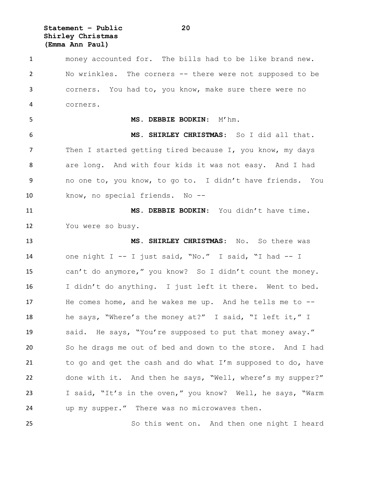**Statement – Public 20 Shirley Christmas (Emma Ann Paul)**

 money accounted for. The bills had to be like brand new. No wrinkles. The corners -- there were not supposed to be corners. You had to, you know, make sure there were no corners. **MS. DEBBIE BODKIN**: M'hm. **MS. SHIRLEY CHRISTMAS**: So I did all that. 7 Then I started getting tired because I, you know, my days are long. And with four kids it was not easy. And I had no one to, you know, to go to. I didn't have friends. You know, no special friends. No -- **MS. DEBBIE BODKIN**: You didn't have time. You were so busy. **MS. SHIRLEY CHRISTMAS**: No. So there was one night I -- I just said, "No." I said, "I had -- I

 can't do anymore," you know? So I didn't count the money. I didn't do anything. I just left it there. Went to bed. He comes home, and he wakes me up. And he tells me to -- he says, "Where's the money at?" I said, "I left it," I said. He says, "You're supposed to put that money away." So he drags me out of bed and down to the store. And I had to go and get the cash and do what I'm supposed to do, have done with it. And then he says, "Well, where's my supper?" I said, "It's in the oven," you know? Well, he says, "Warm up my supper." There was no microwaves then.

So this went on. And then one night I heard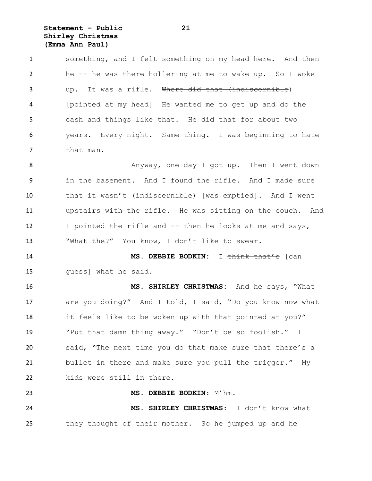**Statement – Public 21 Shirley Christmas (Emma Ann Paul)**

 something, and I felt something on my head here. And then he -- he was there hollering at me to wake up. So I woke up. It was a rifle. Where did that (indiscernible) [pointed at my head] He wanted me to get up and do the cash and things like that. He did that for about two years. Every night. Same thing. I was beginning to hate 7 that man.

8 Anyway, one day I got up. Then I went down in the basement. And I found the rifle. And I made sure 10 that it wasn't (indiscernible) [was emptied]. And I went upstairs with the rifle. He was sitting on the couch. And I pointed the rifle and -- then he looks at me and says, "What the?" You know, I don't like to swear.

 **MS. DEBBIE BODKIN:** I think that's [can guess] what he said.

 **MS. SHIRLEY CHRISTMAS:** And he says, "What are you doing?" And I told, I said, "Do you know now what it feels like to be woken up with that pointed at you?" "Put that damn thing away." "Don't be so foolish." I said, "The next time you do that make sure that there's a bullet in there and make sure you pull the trigger." My kids were still in there.

**MS. DEBBIE BODKIN:** M'hm.

 **MS. SHIRLEY CHRISTMAS:** I don't know what they thought of their mother. So he jumped up and he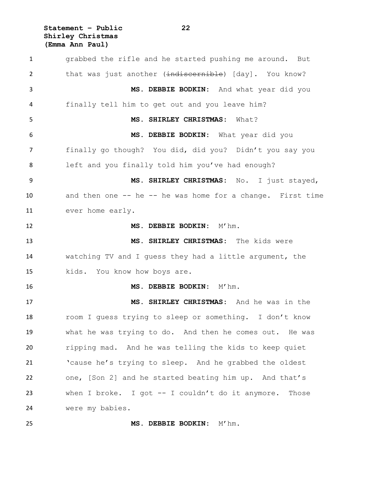**Statement – Public 22 Shirley Christmas (Emma Ann Paul)**

 grabbed the rifle and he started pushing me around. But 2 that was just another (indiscernible) [day]. You know? **MS. DEBBIE BODKIN:** And what year did you finally tell him to get out and you leave him? **MS. SHIRLEY CHRISTMAS:** What? **MS. DEBBIE BODKIN:** What year did you finally go though? You did, did you? Didn't you say you left and you finally told him you've had enough? **MS. SHIRLEY CHRISTMAS:** No. I just stayed, and then one -- he -- he was home for a change. First time ever home early. **MS. DEBBIE BODKIN:** M'hm. **MS. SHIRLEY CHRISTMAS:** The kids were watching TV and I guess they had a little argument, the kids. You know how boys are. **MS. DEBBIE BODKIN:** M'hm. **MS. SHIRLEY CHRISTMAS:** And he was in the room I guess trying to sleep or something. I don't know what he was trying to do. And then he comes out. He was ripping mad. And he was telling the kids to keep quiet 'cause he's trying to sleep. And he grabbed the oldest one, [Son 2] and he started beating him up. And that's when I broke. I got -- I couldn't do it anymore. Those were my babies.

**MS. DEBBIE BODKIN:** M'hm.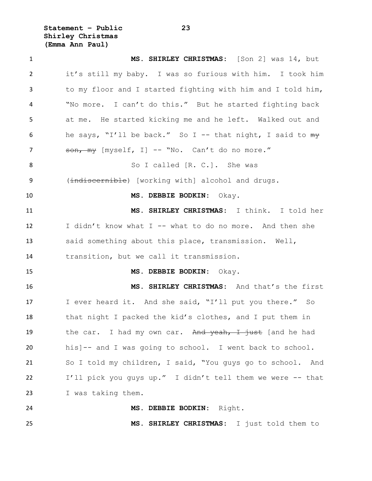**Statement – Public 23 Shirley Christmas (Emma Ann Paul)**

 **MS. SHIRLEY CHRISTMAS:** [Son 2] was 14, but it's still my baby. I was so furious with him. I took him to my floor and I started fighting with him and I told him, "No more. I can't do this." But he started fighting back at me. He started kicking me and he left. Walked out and he says, "I'll be back." So I -- that night, I said to my 7 son, my [myself, I] -- "No. Can't do no more." 8 So I called [R. C.]. She was 9 (indiscernible) [working with] alcohol and drugs. **MS. DEBBIE BODKIN:** Okay. **MS. SHIRLEY CHRISTMAS:** I think. I told her I didn't know what I -- what to do no more. And then she said something about this place, transmission. Well, transition, but we call it transmission. **MS. DEBBIE BODKIN:** Okay. **MS. SHIRLEY CHRISTMAS:** And that's the first 17 I ever heard it. And she said, "I'll put you there." So that night I packed the kid's clothes, and I put them in 19 the car. I had my own car. And yeah, I just [and he had his]-- and I was going to school. I went back to school. So I told my children, I said, "You guys go to school. And I'll pick you guys up." I didn't tell them we were -- that I was taking them. **MS. DEBBIE BODKIN:** Right. **MS. SHIRLEY CHRISTMAS:** I just told them to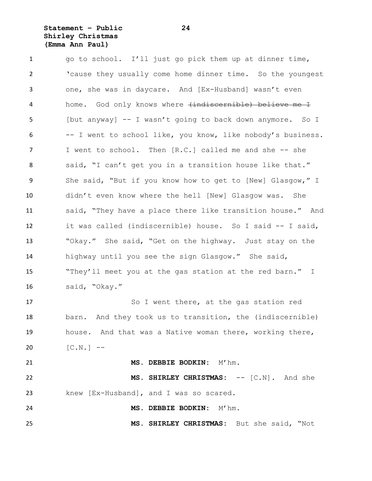# **Statement – Public 24 Shirley Christmas (Emma Ann Paul)**

1 go to school. I'll just go pick them up at dinner time, 'cause they usually come home dinner time. So the youngest one, she was in daycare. And [Ex-Husband] wasn't even 4 home. God only knows where  $\{$ indiscernible) believe me I [but anyway] -- I wasn't going to back down anymore. So I -- I went to school like, you know, like nobody's business. 7 I went to school. Then [R.C.] called me and she -- she said, "I can't get you in a transition house like that." 9 She said, "But if you know how to get to [New] Glasgow," I didn't even know where the hell [New] Glasgow was. She said, "They have a place there like transition house." And it was called (indiscernible) house. So I said -- I said, "Okay." She said, "Get on the highway. Just stay on the highway until you see the sign Glasgow." She said, "They'll meet you at the gas station at the red barn." I said, "Okay." So I went there, at the gas station red

 barn. And they took us to transition, the (indiscernible) house. And that was a Native woman there, working there, 20  $[C.N.]$  --

 **MS. DEBBIE BODKIN:** M'hm. **MS. SHIRLEY CHRISTMAS:** -- [C.N]. And she knew [Ex-Husband], and I was so scared.

**MS. DEBBIE BODKIN:** M'hm.

**MS. SHIRLEY CHRISTMAS:** But she said, "Not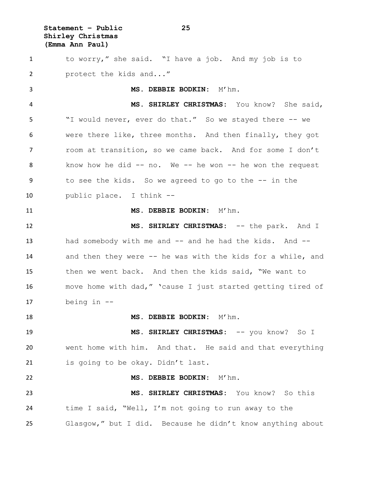**Statement – Public 25 Shirley Christmas (Emma Ann Paul)**

 to worry," she said. "I have a job. And my job is to protect the kids and..." **MS. DEBBIE BODKIN:** M'hm. **MS. SHIRLEY CHRISTMAS:** You know? She said, "I would never, ever do that." So we stayed there -- we were there like, three months. And then finally, they got room at transition, so we came back. And for some I don't know how he did -- no. We -- he won -- he won the request to see the kids. So we agreed to go to the -- in the public place. I think -- **MS. DEBBIE BODKIN:** M'hm. **MS. SHIRLEY CHRISTMAS:** -- the park. And I 13 had somebody with me and -- and he had the kids. And -- and then they were -- he was with the kids for a while, and then we went back. And then the kids said, "We want to move home with dad," 'cause I just started getting tired of being in -- **MS. DEBBIE BODKIN:** M'hm. **MS. SHIRLEY CHRISTMAS:** -- you know? So I went home with him. And that. He said and that everything 21 is going to be okay. Didn't last. **MS. DEBBIE BODKIN:** M'hm. **MS. SHIRLEY CHRISTMAS:** You know? So this time I said, "Well, I'm not going to run away to the Glasgow," but I did. Because he didn't know anything about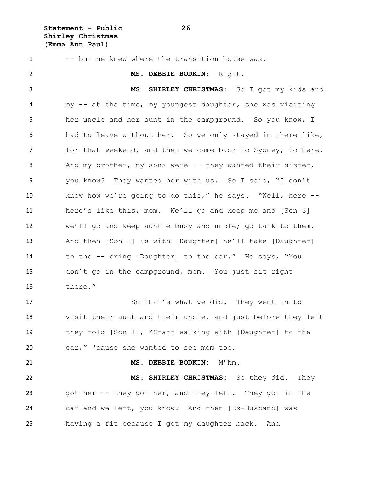**Statement – Public 26 Shirley Christmas (Emma Ann Paul)**

 -- but he knew where the transition house was. **MS. DEBBIE BODKIN:** Right. **MS. SHIRLEY CHRISTMAS:** So I got my kids and my -- at the time, my youngest daughter, she was visiting her uncle and her aunt in the campground. So you know, I had to leave without her. So we only stayed in there like, 7 for that weekend, and then we came back to Sydney, to here. 8 And my brother, my sons were -- they wanted their sister, you know? They wanted her with us. So I said, "I don't know how we're going to do this," he says. "Well, here -- here's like this, mom. We'll go and keep me and [Son 3] we'll go and keep auntie busy and uncle; go talk to them. And then [Son 1] is with [Daughter] he'll take [Daughter] to the -- bring [Daughter] to the car." He says, "You don't go in the campground, mom. You just sit right there." So that's what we did. They went in to visit their aunt and their uncle, and just before they left they told [Son 1], "Start walking with [Daughter] to the car," 'cause she wanted to see mom too. **MS. DEBBIE BODKIN:** M'hm. **MS. SHIRLEY CHRISTMAS:** So they did. They got her -- they got her, and they left. They got in the car and we left, you know? And then [Ex-Husband] was having a fit because I got my daughter back. And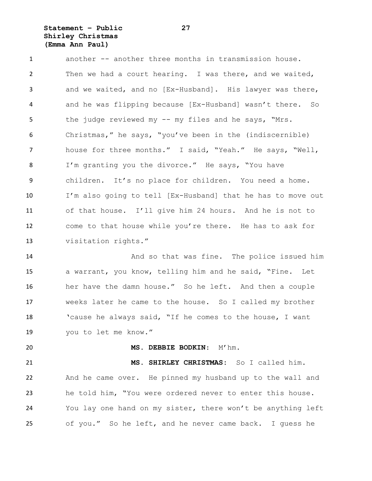# **Statement – Public 27 Shirley Christmas (Emma Ann Paul)**

 another -- another three months in transmission house. Then we had a court hearing. I was there, and we waited, and we waited, and no [Ex-Husband]. His lawyer was there, and he was flipping because [Ex-Husband] wasn't there. So the judge reviewed my -- my files and he says, "Mrs. Christmas," he says, "you've been in the (indiscernible) house for three months." I said, "Yeah." He says, "Well, I'm granting you the divorce." He says, "You have children. It's no place for children. You need a home. I'm also going to tell [Ex-Husband] that he has to move out of that house. I'll give him 24 hours. And he is not to come to that house while you're there. He has to ask for visitation rights."

 And so that was fine. The police issued him a warrant, you know, telling him and he said, "Fine. Let her have the damn house." So he left. And then a couple weeks later he came to the house. So I called my brother 'cause he always said, "If he comes to the house, I want you to let me know."

**MS. DEBBIE BODKIN:** M'hm.

 **MS. SHIRLEY CHRISTMAS:** So I called him. And he came over. He pinned my husband up to the wall and he told him, "You were ordered never to enter this house. You lay one hand on my sister, there won't be anything left of you." So he left, and he never came back. I guess he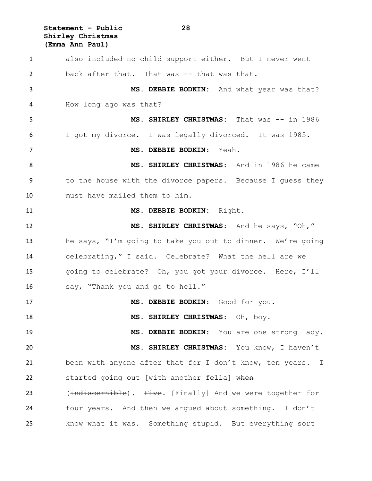**Statement – Public 28 Shirley Christmas (Emma Ann Paul)**

 also included no child support either. But I never went back after that. That was -- that was that. **MS. DEBBIE BODKIN:** And what year was that? How long ago was that? **MS. SHIRLEY CHRISTMAS:** That was -- in 1986 I got my divorce. I was legally divorced. It was 1985. **MS. DEBBIE BODKIN:** Yeah. **MS. SHIRLEY CHRISTMAS:** And in 1986 he came to the house with the divorce papers. Because I guess they must have mailed them to him. **MS. DEBBIE BODKIN:** Right. **MS. SHIRLEY CHRISTMAS:** And he says, "Oh," he says, "I'm going to take you out to dinner. We're going celebrating," I said. Celebrate? What the hell are we going to celebrate? Oh, you got your divorce. Here, I'll say, "Thank you and go to hell." **MS. DEBBIE BODKIN:** Good for you. **MS. SHIRLEY CHRISTMAS:** Oh, boy. **MS. DEBBIE BODKIN:** You are one strong lady. **MS. SHIRLEY CHRISTMAS:** You know, I haven't been with anyone after that for I don't know, ten years. I 22 started going out [with another fella] when 23 (indiscernible). Five. [Finally] And we were together for four years. And then we argued about something. I don't know what it was. Something stupid. But everything sort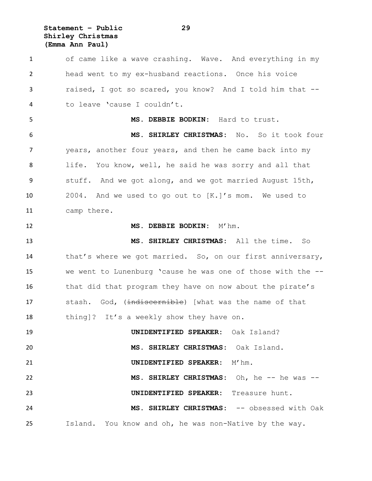**Statement – Public 29 Shirley Christmas (Emma Ann Paul)**

 of came like a wave crashing. Wave. And everything in my head went to my ex-husband reactions. Once his voice raised, I got so scared, you know? And I told him that -- to leave 'cause I couldn't. **MS. DEBBIE BODKIN:** Hard to trust. **MS. SHIRLEY CHRISTMAS:** No. So it took four years, another four years, and then he came back into my life. You know, well, he said he was sorry and all that stuff. And we got along, and we got married August 15th, 2004. And we used to go out to [K.]'s mom. We used to camp there. **MS. DEBBIE BODKIN:** M'hm. **MS. SHIRLEY CHRISTMAS:** All the time. So 14 that's where we got married. So, on our first anniversary, we went to Lunenburg 'cause he was one of those with the -- 16 that did that program they have on now about the pirate's 17 stash. God, (indiscernible) [what was the name of that 18 thing]? It's a weekly show they have on. **UNIDENTIFIED SPEAKER:** Oak Island? **MS. SHIRLEY CHRISTMAS:** Oak Island. **UNIDENTIFIED SPEAKER:** M'hm. 22 MS. SHIRLEY CHRISTMAS: Oh, he -- he was -- **UNIDENTIFIED SPEAKER:** Treasure hunt. **MS. SHIRLEY CHRISTMAS:** -- obsessed with Oak Island. You know and oh, he was non-Native by the way.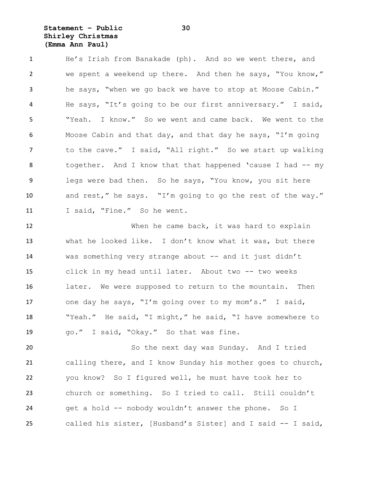**Statement – Public 30 Shirley Christmas (Emma Ann Paul)**

 He's Irish from Banakade (ph). And so we went there, and we spent a weekend up there. And then he says, "You know," he says, "when we go back we have to stop at Moose Cabin." He says, "It's going to be our first anniversary." I said, "Yeah. I know." So we went and came back. We went to the Moose Cabin and that day, and that day he says, "I'm going 7 to the cave." I said, "All right." So we start up walking together. And I know that that happened 'cause I had -- my legs were bad then. So he says, "You know, you sit here and rest," he says. "I'm going to go the rest of the way." 11 I said, "Fine." So he went.

 When he came back, it was hard to explain what he looked like. I don't know what it was, but there was something very strange about -- and it just didn't click in my head until later. About two -- two weeks 16 later. We were supposed to return to the mountain. Then one day he says, "I'm going over to my mom's." I said, "Yeah." He said, "I might," he said, "I have somewhere to go." I said, "Okay." So that was fine.

 So the next day was Sunday. And I tried calling there, and I know Sunday his mother goes to church, you know? So I figured well, he must have took her to church or something. So I tried to call. Still couldn't get a hold -- nobody wouldn't answer the phone. So I called his sister, [Husband's Sister] and I said -- I said,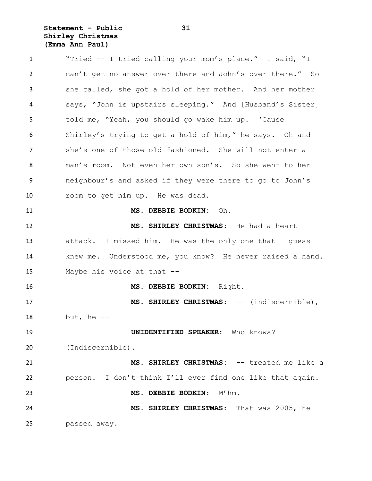**Statement – Public 31 Shirley Christmas (Emma Ann Paul)**

 "Tried -- I tried calling your mom's place." I said, "I can't get no answer over there and John's over there." So she called, she got a hold of her mother. And her mother says, "John is upstairs sleeping." And [Husband's Sister] told me, "Yeah, you should go wake him up. 'Cause Shirley's trying to get a hold of him," he says. Oh and she's one of those old-fashioned. She will not enter a man's room. Not even her own son's. So she went to her neighbour's and asked if they were there to go to John's room to get him up. He was dead. **MS. DEBBIE BODKIN:** Oh. **MS. SHIRLEY CHRISTMAS:** He had a heart attack. I missed him. He was the only one that I guess knew me. Understood me, you know? He never raised a hand. Maybe his voice at that -- **MS. DEBBIE BODKIN:** Right. **MS. SHIRLEY CHRISTMAS:** -- (indiscernible), but, he -- **UNIDENTIFIED SPEAKER:** Who knows? (Indiscernible). **MS. SHIRLEY CHRISTMAS:** -- treated me like a person. I don't think I'll ever find one like that again. **MS. DEBBIE BODKIN:** M'hm. **MS. SHIRLEY CHRISTMAS:** That was 2005, he passed away.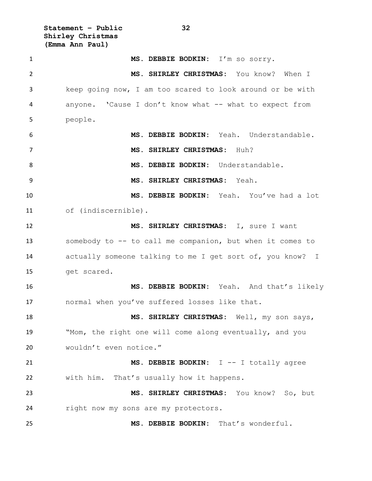**Statement – Public 32 Shirley Christmas (Emma Ann Paul)**

 **MS. DEBBIE BODKIN:** I'm so sorry. **MS. SHIRLEY CHRISTMAS:** You know? When I keep going now, I am too scared to look around or be with anyone. 'Cause I don't know what -- what to expect from people. **MS. DEBBIE BODKIN:** Yeah. Understandable. **MS. SHIRLEY CHRISTMAS:** Huh? **MS. DEBBIE BODKIN:** Understandable. **MS. SHIRLEY CHRISTMAS:** Yeah. **MS. DEBBIE BODKIN:** Yeah. You've had a lot of (indiscernible). **MS. SHIRLEY CHRISTMAS:** I, sure I want somebody to -- to call me companion, but when it comes to actually someone talking to me I get sort of, you know? I get scared. **MS. DEBBIE BODKIN:** Yeah. And that's likely normal when you've suffered losses like that. **MS. SHIRLEY CHRISTMAS:** Well, my son says, "Mom, the right one will come along eventually, and you wouldn't even notice." **MS. DEBBIE BODKIN:** I -- I totally agree with him. That's usually how it happens. **MS. SHIRLEY CHRISTMAS:** You know? So, but right now my sons are my protectors. **MS. DEBBIE BODKIN:** That's wonderful.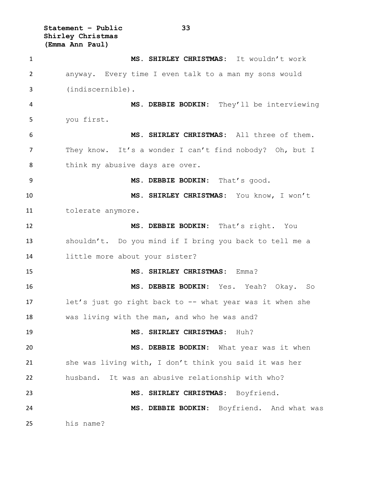**Statement – Public 33 Shirley Christmas (Emma Ann Paul)**

 **MS. SHIRLEY CHRISTMAS:** It wouldn't work anyway. Every time I even talk to a man my sons would (indiscernible). **MS. DEBBIE BODKIN:** They'll be interviewing you first. **MS. SHIRLEY CHRISTMAS:** All three of them. They know. It's a wonder I can't find nobody? Oh, but I 8 think my abusive days are over. **MS. DEBBIE BODKIN:** That's good. **MS. SHIRLEY CHRISTMAS:** You know, I won't tolerate anymore. **MS. DEBBIE BODKIN:** That's right. You shouldn't. Do you mind if I bring you back to tell me a little more about your sister? **MS. SHIRLEY CHRISTMAS:** Emma? **MS. DEBBIE BODKIN:** Yes. Yeah? Okay. So let's just go right back to -- what year was it when she was living with the man, and who he was and? **MS. SHIRLEY CHRISTMAS:** Huh? **MS. DEBBIE BODKIN:** What year was it when she was living with, I don't think you said it was her husband. It was an abusive relationship with who? **MS. SHIRLEY CHRISTMAS:** Boyfriend. **MS. DEBBIE BODKIN:** Boyfriend. And what was his name?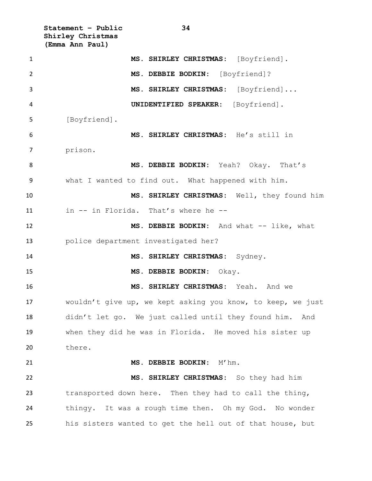**Statement – Public 34 Shirley Christmas (Emma Ann Paul)**

| $\mathbf{1}$ | MS. SHIRLEY CHRISTMAS: [Boyfriend].                         |
|--------------|-------------------------------------------------------------|
| 2            | MS. DEBBIE BODKIN: [Boyfriend]?                             |
| 3            | MS. SHIRLEY CHRISTMAS: [Boyfriend]                          |
| 4            | UNIDENTIFIED SPEAKER: [Boyfriend].                          |
| 5            | [Boyfriend].                                                |
| 6            | MS. SHIRLEY CHRISTMAS: He's still in                        |
| 7            | prison.                                                     |
| 8            | MS. DEBBIE BODKIN: Yeah? Okay. That's                       |
| 9            | what I wanted to find out. What happened with him.          |
| 10           | MS. SHIRLEY CHRISTMAS: Well, they found him                 |
| 11           | in -- in Florida. That's where he --                        |
| 12           | MS. DEBBIE BODKIN: And what -- like, what                   |
| 13           | police department investigated her?                         |
| 14           | MS. SHIRLEY CHRISTMAS: Sydney.                              |
| 15           | MS. DEBBIE BODKIN: Okay.                                    |
| 16           | MS. SHIRLEY CHRISTMAS: Yeah. And we                         |
| 17           | wouldn't give up, we kept asking you know, to keep, we just |
| 18           | didn't let go. We just called until they found him. And     |
| 19           | when they did he was in Florida. He moved his sister up     |
| 20           | there.                                                      |
| 21           | MS. DEBBIE BODKIN: M'hm.                                    |
| 22           | MS. SHIRLEY CHRISTMAS: So they had him                      |
| 23           | transported down here. Then they had to call the thing,     |
| 24           | thingy. It was a rough time then. Oh my God. No wonder      |
| 25           | his sisters wanted to get the hell out of that house, but   |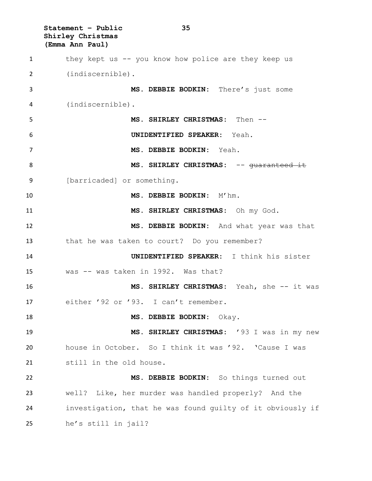**Statement – Public 35 Shirley Christmas (Emma Ann Paul)** they kept us -- you know how police are they keep us (indiscernible). **MS. DEBBIE BODKIN:** There's just some (indiscernible). **MS. SHIRLEY CHRISTMAS:** Then -- **UNIDENTIFIED SPEAKER:** Yeah. **MS. DEBBIE BODKIN:** Yeah. **MS. SHIRLEY CHRISTMAS:** -- guaranteed it [barricaded] or something. **MS. DEBBIE BODKIN:** M'hm. **MS. SHIRLEY CHRISTMAS:** Oh my God. **MS. DEBBIE BODKIN:** And what year was that that he was taken to court? Do you remember? **UNIDENTIFIED SPEAKER:** I think his sister was -- was taken in 1992. Was that? **MS. SHIRLEY CHRISTMAS:** Yeah, she -- it was either '92 or '93. I can't remember. **MS. DEBBIE BODKIN:** Okay. **MS. SHIRLEY CHRISTMAS:** '93 I was in my new house in October. So I think it was '92. 'Cause I was still in the old house. **MS. DEBBIE BODKIN:** So things turned out well? Like, her murder was handled properly? And the investigation, that he was found guilty of it obviously if he's still in jail?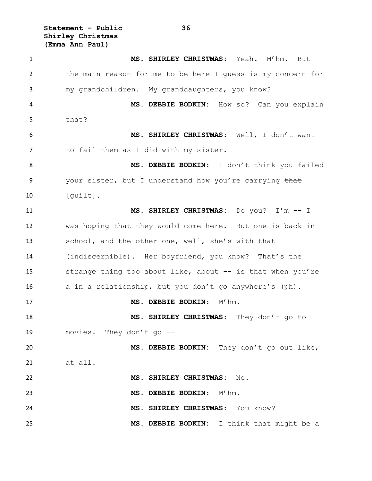**Statement – Public 36 Shirley Christmas (Emma Ann Paul)**

 **MS. SHIRLEY CHRISTMAS:** Yeah. M'hm. But the main reason for me to be here I guess is my concern for my grandchildren. My granddaughters, you know? **MS. DEBBIE BODKIN:** How so? Can you explain that? **MS. SHIRLEY CHRISTMAS:** Well, I don't want to fail them as I did with my sister. **MS. DEBBIE BODKIN:** I don't think you failed 9 your sister, but I understand how you're carrying that 10 [quilt]. **MS. SHIRLEY CHRISTMAS:** Do you? I'm -- I was hoping that they would come here. But one is back in school, and the other one, well, she's with that (indiscernible). Her boyfriend, you know? That's the 15 strange thing too about like, about -- is that when you're a in a relationship, but you don't go anywhere's (ph). **MS. DEBBIE BODKIN:** M'hm. **MS. SHIRLEY CHRISTMAS:** They don't go to movies. They don't go -- **MS. DEBBIE BODKIN:** They don't go out like, at all. **MS. SHIRLEY CHRISTMAS:** No. **MS. DEBBIE BODKIN:** M'hm. **MS. SHIRLEY CHRISTMAS:** You know? **MS. DEBBIE BODKIN:** I think that might be a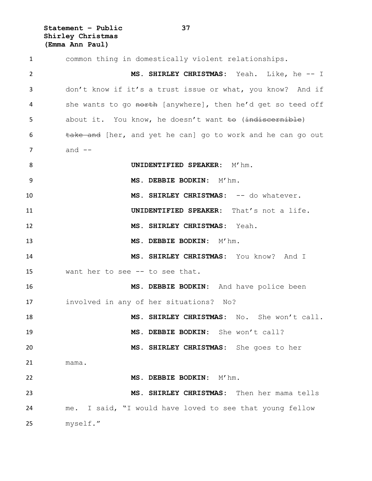**Statement – Public 37 Shirley Christmas (Emma Ann Paul)**

 common thing in domestically violent relationships. **MS. SHIRLEY CHRISTMAS:** Yeah. Like, he -- I don't know if it's a trust issue or what, you know? And if 4 she wants to go north [anywhere], then he'd get so teed off 5 about it. You know, he doesn't want to (indiscernible) 6 take and [her, and yet he can] go to work and he can go out and  $-$ **UNIDENTIFIED SPEAKER:** M'hm. 9 MS. DEBBIE BODKIN: M'hm. **MS. SHIRLEY CHRISTMAS:** -- do whatever. **UNIDENTIFIED SPEAKER:** That's not a life. **MS. SHIRLEY CHRISTMAS:** Yeah. **MS. DEBBIE BODKIN:** M'hm. **MS. SHIRLEY CHRISTMAS:** You know? And I want her to see -- to see that. **MS. DEBBIE BODKIN:** And have police been involved in any of her situations? No? **MS. SHIRLEY CHRISTMAS:** No. She won't call. **MS. DEBBIE BODKIN:** She won't call? **MS. SHIRLEY CHRISTMAS:** She goes to her mama. **MS. DEBBIE BODKIN:** M'hm. **MS. SHIRLEY CHRISTMAS:** Then her mama tells me. I said, "I would have loved to see that young fellow myself."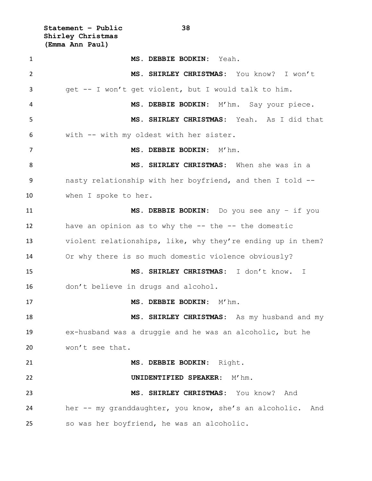**Statement – Public 38 Shirley Christmas (Emma Ann Paul)**

| $\mathbf{1}$ | MS. DEBBIE BODKIN: Yeah.                                      |
|--------------|---------------------------------------------------------------|
| 2            | MS. SHIRLEY CHRISTMAS: You know? I won't                      |
| 3            | get -- I won't get violent, but I would talk to him.          |
| 4            | MS. DEBBIE BODKIN: M'hm. Say your piece.                      |
| 5            | MS. SHIRLEY CHRISTMAS: Yeah. As I did that                    |
| 6            | with -- with my oldest with her sister.                       |
| 7            | MS. DEBBIE BODKIN: M'hm.                                      |
| 8            | MS. SHIRLEY CHRISTMAS: When she was in a                      |
| 9            | nasty relationship with her boyfriend, and then I told --     |
| 10           | when I spoke to her.                                          |
| 11           | MS. DEBBIE BODKIN: Do you see any - if you                    |
| 12           | have an opinion as to why the -- the -- the domestic          |
| 13           | violent relationships, like, why they're ending up in them?   |
| 14           | Or why there is so much domestic violence obviously?          |
| 15           | MS. SHIRLEY CHRISTMAS: I don't know. I                        |
| 16           | don't believe in drugs and alcohol.                           |
| 17           | MS. DEBBIE BODKIN: M'hm.                                      |
| 18           | MS. SHIRLEY CHRISTMAS: As my husband and my                   |
| 19           | ex-husband was a druggie and he was an alcoholic, but he      |
| 20           | won't see that.                                               |
| 21           | MS. DEBBIE BODKIN: Right.                                     |
| 22           | UNIDENTIFIED SPEAKER:<br>$M'$ hm.                             |
| 23           | MS. SHIRLEY CHRISTMAS: You know?<br>And                       |
| 24           | her -- my granddaughter, you know, she's an alcoholic.<br>And |
| 25           | so was her boyfriend, he was an alcoholic.                    |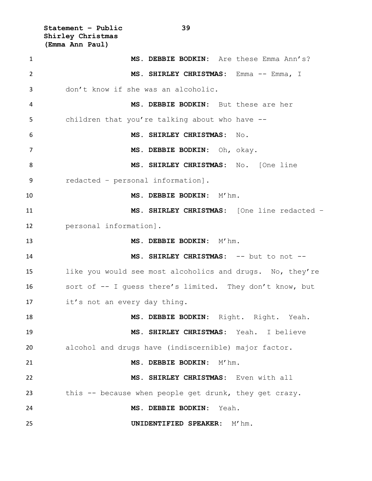**Statement – Public 39 Shirley Christmas (Emma Ann Paul)**

| $\mathbf{1}$ | MS. DEBBIE BODKIN: Are these Emma Ann's?                  |
|--------------|-----------------------------------------------------------|
| 2            | MS. SHIRLEY CHRISTMAS: Emma -- Emma, I                    |
| 3            | don't know if she was an alcoholic.                       |
| 4            | MS. DEBBIE BODKIN: But these are her                      |
| 5            | children that you're talking about who have --            |
| 6            | MS. SHIRLEY CHRISTMAS:<br>No.                             |
| 7            | MS. DEBBIE BODKIN: Oh, okay.                              |
| 8            | MS. SHIRLEY CHRISTMAS: No. [One line                      |
| 9            | redacted - personal information].                         |
| 10           | MS. DEBBIE BODKIN: M'hm.                                  |
| 11           | MS. SHIRLEY CHRISTMAS: [One line redacted -               |
| 12           | personal information].                                    |
| 13           | MS. DEBBIE BODKIN: M'hm.                                  |
| 14           | MS. SHIRLEY CHRISTMAS: -- but to not --                   |
| 15           | like you would see most alcoholics and drugs. No, they're |
| 16           | sort of -- I guess there's limited. They don't know, but  |
| 17           | it's not an every day thing.                              |
| 18           | MS. DEBBIE BODKIN: Right. Right. Yeah.                    |
| 19           | MS. SHIRLEY CHRISTMAS: Yeah. I believe                    |
| 20           | alcohol and drugs have (indiscernible) major factor.      |
| 21           | MS. DEBBIE BODKIN: M'hm.                                  |
| 22           | MS. SHIRLEY CHRISTMAS: Even with all                      |
| 23           | this -- because when people get drunk, they get crazy.    |
| 24           | MS. DEBBIE BODKIN:<br>Yeah.                               |
| 25           | UNIDENTIFIED SPEAKER: M'hm.                               |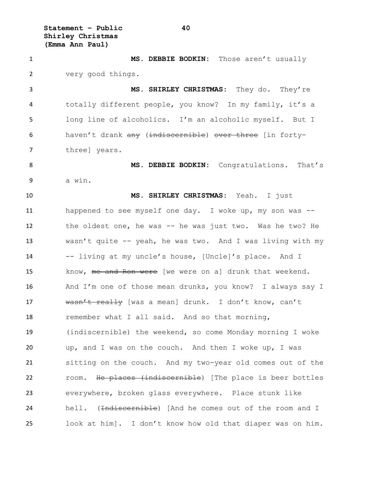**Statement – Public 40 Shirley Christmas (Emma Ann Paul)**

 **MS. DEBBIE BODKIN:** Those aren't usually very good things. **MS. SHIRLEY CHRISTMAS:** They do. They're totally different people, you know? In my family, it's a long line of alcoholics. I'm an alcoholic myself. But I haven't drank any (indiscernible) over three [in forty- three] years. **MS. DEBBIE BODKIN:** Congratulations. That's a win. **MS. SHIRLEY CHRISTMAS:** Yeah. I just happened to see myself one day. I woke up, my son was -- 12 the oldest one, he was -- he was just two. Was he two? He wasn't quite -- yeah, he was two. And I was living with my -- living at my uncle's house, [Uncle]'s place. And I 15 know, me and Ron were [we were on a] drunk that weekend. And I'm one of those mean drunks, you know? I always say I 17 wasn't really [was a mean] drunk. I don't know, can't remember what I all said. And so that morning, (indiscernible) the weekend, so come Monday morning I woke up, and I was on the couch. And then I woke up, I was sitting on the couch. And my two-year old comes out of the 22 room. He places (indiscernible) [The place is beer bottles everywhere, broken glass everywhere. Place stunk like 24 hell. (<del>Indiscernible</del>) [And he comes out of the room and I look at him]. I don't know how old that diaper was on him.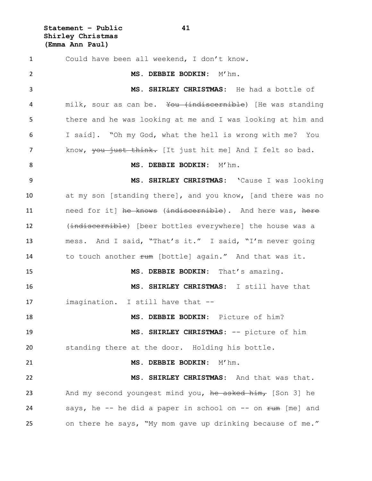**Statement – Public 41 Shirley Christmas (Emma Ann Paul)**

 Could have been all weekend, I don't know. **MS. DEBBIE BODKIN:** M'hm. **MS. SHIRLEY CHRISTMAS:** He had a bottle of 4 milk, sour as can be. You (indiscernible) [He was standing there and he was looking at me and I was looking at him and I said]. "Oh my God, what the hell is wrong with me? You 7 know, you just think. [It just hit me] And I felt so bad. **MS. DEBBIE BODKIN:** M'hm. **MS. SHIRLEY CHRISTMAS:** 'Cause I was looking at my son [standing there], and you know, [and there was no 11 need for it] he knows (indiscernible). And here was, here 12 (indiscernible) [beer bottles everywhere] the house was a mess. And I said, "That's it." I said, "I'm never going 14 to touch another rum [bottle] again." And that was it. **MS. DEBBIE BODKIN:** That's amazing. **MS. SHIRLEY CHRISTMAS:** I still have that imagination. I still have that -- **MS. DEBBIE BODKIN:** Picture of him? **MS. SHIRLEY CHRISTMAS:** -- picture of him standing there at the door. Holding his bottle. **MS. DEBBIE BODKIN:** M'hm. **MS. SHIRLEY CHRISTMAS:** And that was that. 23 And my second youngest mind you, he asked him, [Son 3] he 24 says, he  $-$  he did a paper in school on  $-$  on  $\pm$ um [me] and on there he says, "My mom gave up drinking because of me."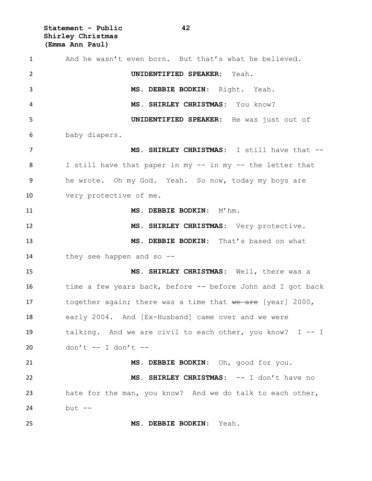**Statement – Public 42 Shirley Christmas (Emma Ann Paul)**

 And he wasn't even born. But that's what he believed. **UNIDENTIFIED SPEAKER:** Yeah. **MS. DEBBIE BODKIN:** Right. Yeah. **MS. SHIRLEY CHRISTMAS:** You know? **UNIDENTIFIED SPEAKER:** He was just out of baby diapers. **MS. SHIRLEY CHRISTMAS:** I still have that -- I still have that paper in my -- in my -- the letter that he wrote. Oh my God. Yeah. So now, today my boys are very protective of me. **MS. DEBBIE BODKIN:** M'hm. **MS. SHIRLEY CHRISTMAS:** Very protective. **MS. DEBBIE BODKIN:** That's based on what they see happen and so -- **MS. SHIRLEY CHRISTMAS:** Well, there was a 16 time a few years back, before -- before John and I got back 17 together again; there was a time that we are [year] 2000, early 2004. And [Ex-Husband] came over and we were talking. And we are civil to each other, you know? I -- I don't -- I don't -- **MS. DEBBIE BODKIN:** Oh, good for you. **MS. SHIRLEY CHRISTMAS:** -- I don't have no hate for the man, you know? And we do talk to each other, but -- **MS. DEBBIE BODKIN:** Yeah.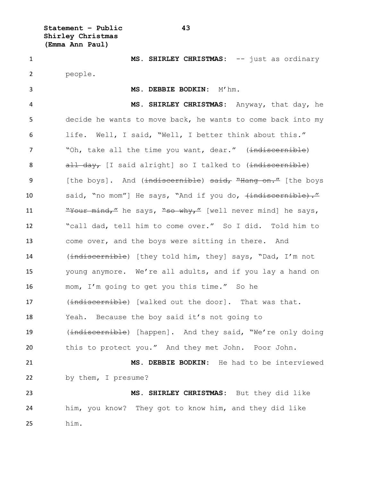**Statement – Public 43 Shirley Christmas (Emma Ann Paul)**

1 MS. SHIRLEY CHRISTMAS: -- just as ordinary 2 people. 3 **MS. DEBBIE BODKIN:** M'hm. 4 **MS. SHIRLEY CHRISTMAS:** Anyway, that day, he 5 decide he wants to move back, he wants to come back into my 6 life. Well, I said, "Well, I better think about this." 7 "Oh, take all the time you want, dear." (indiscernible) 8 all day, [I said alright] so I talked to (indiscernible) 9 [the boys]. And (indiscernible) said, "Hang on." [the boys 10 said, "no mom"] He says, "And if you do,  $\{\text{indiscernible}\}$ ." 11  $\frac{W}{2}$   $\frac{W}{2}$   $\frac{W}{2}$   $\frac{W}{2}$  he says,  $\frac{W}{2}$   $\frac{W}{2}$   $\frac{W}{2}$  [well never mind] he says, 12 "call dad, tell him to come over." So I did. Told him to 13 come over, and the boys were sitting in there. And 14 (indiscernible) [they told him, they] says, "Dad, I'm not 15 young anymore. We're all adults, and if you lay a hand on 16 mom, I'm going to get you this time." So he 17 (indiscernible) [walked out the door]. That was that. 18 Yeah. Because the boy said it's not going to 19 (indiscernible) [happen]. And they said, "We're only doing 20 this to protect you." And they met John. Poor John. 21 **MS. DEBBIE BODKIN:** He had to be interviewed 22 by them, I presume? 23 **MS. SHIRLEY CHRISTMAS:** But they did like 24 him, you know? They got to know him, and they did like 25 him.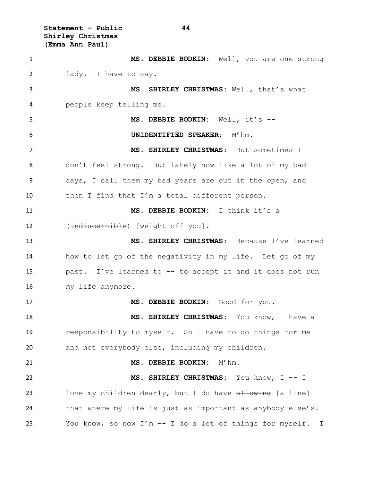**Statement – Public 44 Shirley Christmas (Emma Ann Paul)**

 **MS. DEBBIE BODKIN:** Well, you are one strong lady. I have to say. **MS. SHIRLEY CHRISTMAS:** Well, that's what people keep telling me. **MS. DEBBIE BODKIN:** Well, it's -- **UNIDENTIFIED SPEAKER:** M'hm. **MS. SHIRLEY CHRISTMAS:** But sometimes I don't feel strong. But lately now like a lot of my bad days, I call them my bad years are out in the open, and then I find that I'm a total different person. **MS. DEBBIE BODKIN:** I think it's a 12 (indiscernible) [weight off you]. **MS. SHIRLEY CHRISTMAS:** Because I've learned how to let go of the negativity in my life. Let go of my past. I've learned to -- to accept it and it does not run my life anymore. **MS. DEBBIE BODKIN:** Good for you. **MS. SHIRLEY CHRISTMAS:** You know, I have a responsibility to myself. So I have to do things for me and not everybody else, including my children. **MS. DEBBIE BODKIN:** M'hm. **MS. SHIRLEY CHRISTMAS:** You know, I -- I 23 love my children dearly, but I do have allowing [a line] that where my life is just as important as anybody else's. You know, so now I'm -- I do a lot of things for myself. I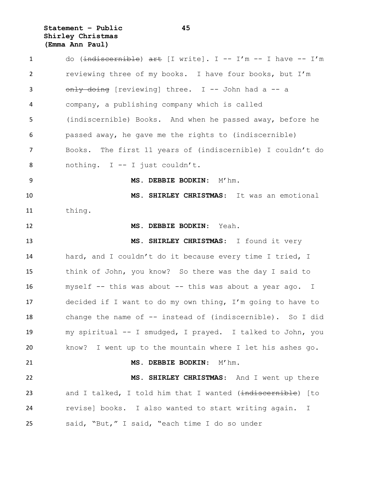**Statement – Public 45 Shirley Christmas (Emma Ann Paul)**

1 do (indiscernible) art [I write]. I -- I'm -- I have -- I'm reviewing three of my books. I have four books, but I'm 3 only doing [reviewing] three. I -- John had a -- a company, a publishing company which is called (indiscernible) Books. And when he passed away, before he passed away, he gave me the rights to (indiscernible) Books. The first 11 years of (indiscernible) I couldn't do nothing. I -- I just couldn't. **MS. DEBBIE BODKIN:** M'hm. **MS. SHIRLEY CHRISTMAS**: It was an emotional thing. **MS. DEBBIE BODKIN**: Yeah. **MS. SHIRLEY CHRISTMAS**: I found it very hard, and I couldn't do it because every time I tried, I think of John, you know? So there was the day I said to myself -- this was about -- this was about a year ago. I decided if I want to do my own thing, I'm going to have to change the name of -- instead of (indiscernible). So I did my spiritual -- I smudged, I prayed. I talked to John, you know? I went up to the mountain where I let his ashes go. **MS. DEBBIE BODKIN**: M'hm. **MS. SHIRLEY CHRISTMAS**: And I went up there 23 and I talked, I told him that I wanted (indiscernible) [to revise] books. I also wanted to start writing again. I said, "But," I said, "each time I do so under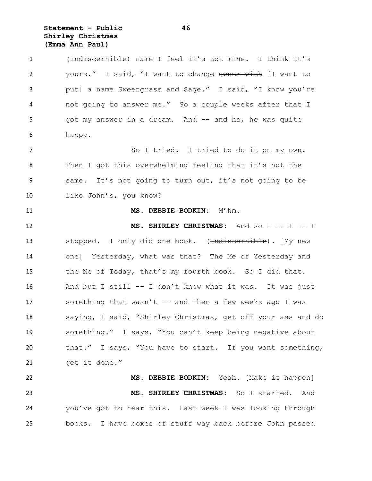**Statement – Public 46 Shirley Christmas (Emma Ann Paul)**

 (indiscernible) name I feel it's not mine. I think it's 2 yours." I said, "I want to change owner with [I want to put] a name Sweetgrass and Sage." I said, "I know you're not going to answer me." So a couple weeks after that I 5 got my answer in a dream. And -- and he, he was quite happy. So I tried. I tried to do it on my own. Then I got this overwhelming feeling that it's not the same. It's not going to turn out, it's not going to be like John's, you know? **MS. DEBBIE BODKIN:** M'hm. **MS. SHIRLEY CHRISTMAS:** And so I -- I -- I 13 stopped. I only did one book. (<del>Indiscernible</del>). My new one] Yesterday, what was that? The Me of Yesterday and the Me of Today, that's my fourth book. So I did that. And but I still -- I don't know what it was. It was just 17 something that wasn't -- and then a few weeks ago I was saying, I said, "Shirley Christmas, get off your ass and do something." I says, "You can't keep being negative about that." I says, "You have to start. If you want something, get it done." **MS. DEBBIE BODKIN:** Yeah. [Make it happen] **MS. SHIRLEY CHRISTMAS:** So I started. And you've got to hear this. Last week I was looking through

books. I have boxes of stuff way back before John passed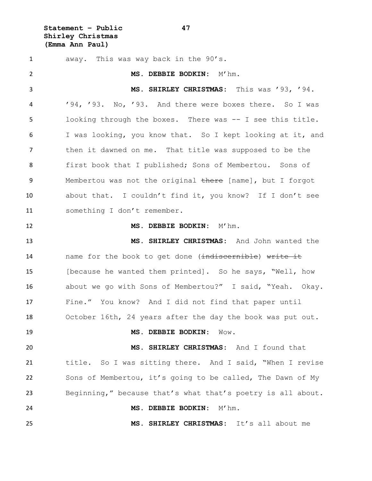**Statement – Public 47 Shirley Christmas (Emma Ann Paul)**

 away. This was way back in the 90's. **MS. DEBBIE BODKIN:** M'hm. **MS. SHIRLEY CHRISTMAS:** This was '93, '94. '94, '93. No, '93. And there were boxes there. So I was looking through the boxes. There was -- I see this title. I was looking, you know that. So I kept looking at it, and then it dawned on me. That title was supposed to be the first book that I published; Sons of Membertou. Sons of 9 Membertou was not the original there [name], but I forgot about that. I couldn't find it, you know? If I don't see something I don't remember. **MS. DEBBIE BODKIN:** M'hm. **MS. SHIRLEY CHRISTMAS:** And John wanted the 14 mame for the book to get done (indiscernible) write it 15 [because he wanted them printed]. So he says, "Well, how about we go with Sons of Membertou?" I said, "Yeah. Okay. Fine." You know? And I did not find that paper until October 16th, 24 years after the day the book was put out. **MS. DEBBIE BODKIN:** Wow. **MS. SHIRLEY CHRISTMAS:** And I found that title. So I was sitting there. And I said, "When I revise Sons of Membertou, it's going to be called, The Dawn of My Beginning," because that's what that's poetry is all about. **MS. DEBBIE BODKIN:** M'hm. **MS. SHIRLEY CHRISTMAS:** It's all about me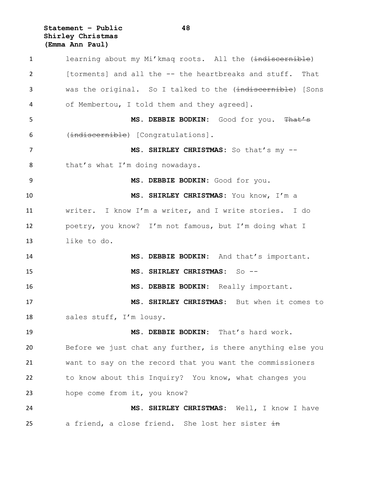**Statement – Public 48 Shirley Christmas (Emma Ann Paul)**

1 learning about my Mi'kmag roots. All the (indiscernible) [torments] and all the -- the heartbreaks and stuff. That 3 was the original. So I talked to the (indiscornible) [Sons of Membertou, I told them and they agreed]. **MS. DEBBIE BODKIN:** Good for you. That's (indiscernible) [Congratulations]. 7 MS. SHIRLEY CHRISTMAS: So that's my --8 that's what I'm doing nowadays. **MS. DEBBIE BODKIN:** Good for you. **MS. SHIRLEY CHRISTMAS:** You know, I'm a writer. I know I'm a writer, and I write stories. I do poetry, you know? I'm not famous, but I'm doing what I like to do. **MS. DEBBIE BODKIN:** And that's important. **MS. SHIRLEY CHRISTMAS:** So -- **MS. DEBBIE BODKIN:** Really important. **MS. SHIRLEY CHRISTMAS:** But when it comes to 18 sales stuff, I'm lousy. **MS. DEBBIE BODKIN:** That's hard work. Before we just chat any further, is there anything else you want to say on the record that you want the commissioners to know about this Inquiry? You know, what changes you 23 hope come from it, you know? **MS. SHIRLEY CHRISTMAS:** Well, I know I have 25 a friend, a close friend. She lost her sister  $\frac{1}{2}$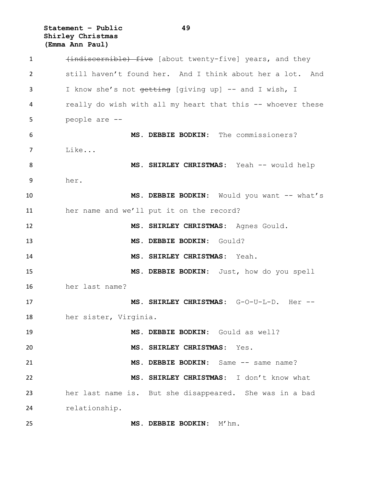**Statement – Public 49 Shirley Christmas (Emma Ann Paul)**

1 (indiscernible) five [about twenty-five] years, and they still haven't found her. And I think about her a lot. And 3 I know she's not <del>getting</del> [giving up] -- and I wish, I really do wish with all my heart that this -- whoever these people are -- **MS. DEBBIE BODKIN:** The commissioners? Like... **MS. SHIRLEY CHRISTMAS:** Yeah -- would help her. **MS. DEBBIE BODKIN:** Would you want -- what's her name and we'll put it on the record? **MS. SHIRLEY CHRISTMAS:** Agnes Gould. **MS. DEBBIE BODKIN:** Gould? **MS. SHIRLEY CHRISTMAS:** Yeah. **MS. DEBBIE BODKIN:** Just, how do you spell her last name? **MS. SHIRLEY CHRISTMAS:** G-O-U-L-D. Her -- her sister, Virginia. **MS. DEBBIE BODKIN:** Gould as well? **MS. SHIRLEY CHRISTMAS:** Yes. **MS. DEBBIE BODKIN:** Same -- same name? **MS. SHIRLEY CHRISTMAS:** I don't know what her last name is. But she disappeared. She was in a bad relationship. **MS. DEBBIE BODKIN:** M'hm.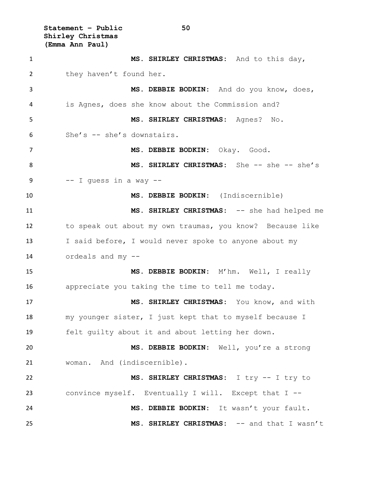**Statement – Public 50 Shirley Christmas (Emma Ann Paul)**

 **MS. SHIRLEY CHRISTMAS:** And to this day, 2 they haven't found her. **MS. DEBBIE BODKIN:** And do you know, does, is Agnes, does she know about the Commission and? **MS. SHIRLEY CHRISTMAS:** Agnes? No. She's -- she's downstairs. **MS. DEBBIE BODKIN:** Okay. Good. 8 MS. SHIRLEY CHRISTMAS: She -- she -- she's  $-$  I guess in a way  $-$  **MS. DEBBIE BODKIN:** (Indiscernible) **MS. SHIRLEY CHRISTMAS:** -- she had helped me to speak out about my own traumas, you know? Because like I said before, I would never spoke to anyone about my ordeals and my -- **MS. DEBBIE BODKIN:** M'hm. Well, I really appreciate you taking the time to tell me today. **MS. SHIRLEY CHRISTMAS:** You know, and with my younger sister, I just kept that to myself because I felt guilty about it and about letting her down. **MS. DEBBIE BODKIN:** Well, you're a strong woman. And (indiscernible). **MS. SHIRLEY CHRISTMAS:** I try -- I try to convince myself. Eventually I will. Except that I -- **MS. DEBBIE BODKIN:** It wasn't your fault. **MS. SHIRLEY CHRISTMAS:** -- and that I wasn't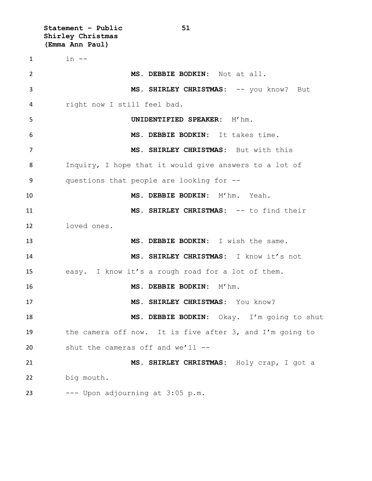**Statement – Public 51 Shirley Christmas (Emma Ann Paul)**  $1 \qquad \qquad$  in  $-$  **MS. DEBBIE BODKIN:** Not at all. **MS. SHIRLEY CHRISTMAS:** -- you know? But right now I still feel bad. **UNIDENTIFIED SPEAKER:** M'hm. **MS. DEBBIE BODKIN:** It takes time. **MS. SHIRLEY CHRISTMAS:** But with this Inquiry, I hope that it would give answers to a lot of questions that people are looking for -- **MS. DEBBIE BODKIN:** M'hm. Yeah. **MS. SHIRLEY CHRISTMAS:** -- to find their loved ones. **MS. DEBBIE BODKIN:** I wish the same. **MS. SHIRLEY CHRISTMAS:** I know it's not easy. I know it's a rough road for a lot of them. **MS. DEBBIE BODKIN:** M'hm. **MS. SHIRLEY CHRISTMAS:** You know? **MS. DEBBIE BODKIN:** Okay. I'm going to shut the camera off now. It is five after 3, and I'm going to shut the cameras off and we'll -- **MS. SHIRLEY CHRISTMAS:** Holy crap, I got a big mouth. --- Upon adjourning at  $3:05$  p.m.